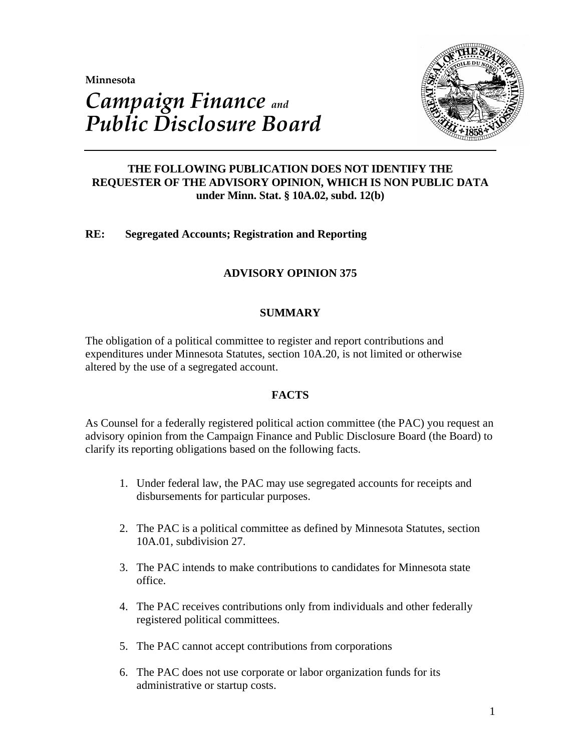**Minnesota** 



# *Campaign Finance and Public Disclosure Board*

# **THE FOLLOWING PUBLICATION DOES NOT IDENTIFY THE REQUESTER OF THE ADVISORY OPINION, WHICH IS NON PUBLIC DATA under Minn. Stat. § 10A.02, subd. 12(b)**

# **RE: Segregated Accounts; Registration and Reporting**

# **ADVISORY OPINION 375**

# **SUMMARY**

The obligation of a political committee to register and report contributions and expenditures under Minnesota Statutes, section 10A.20, is not limited or otherwise altered by the use of a segregated account.

## **FACTS**

As Counsel for a federally registered political action committee (the PAC) you request an advisory opinion from the Campaign Finance and Public Disclosure Board (the Board) to clarify its reporting obligations based on the following facts.

- 1. Under federal law, the PAC may use segregated accounts for receipts and disbursements for particular purposes.
- 2. The PAC is a political committee as defined by Minnesota Statutes, section 10A.01, subdivision 27.
- 3. The PAC intends to make contributions to candidates for Minnesota state office.
- 4. The PAC receives contributions only from individuals and other federally registered political committees.
- 5. The PAC cannot accept contributions from corporations
- 6. The PAC does not use corporate or labor organization funds for its administrative or startup costs.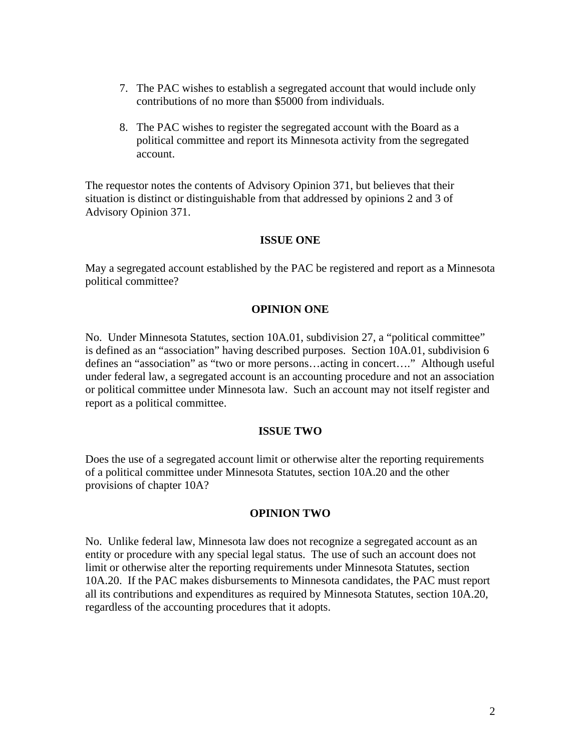- 7. The PAC wishes to establish a segregated account that would include only contributions of no more than \$5000 from individuals.
- 8. The PAC wishes to register the segregated account with the Board as a political committee and report its Minnesota activity from the segregated account.

The requestor notes the contents of Advisory Opinion 371, but believes that their situation is distinct or distinguishable from that addressed by opinions 2 and 3 of Advisory Opinion 371.

## **ISSUE ONE**

May a segregated account established by the PAC be registered and report as a Minnesota political committee?

## **OPINION ONE**

No. Under Minnesota Statutes, section 10A.01, subdivision 27, a "political committee" is defined as an "association" having described purposes. Section 10A.01, subdivision 6 defines an "association" as "two or more persons…acting in concert…." Although useful under federal law, a segregated account is an accounting procedure and not an association or political committee under Minnesota law. Such an account may not itself register and report as a political committee.

## **ISSUE TWO**

Does the use of a segregated account limit or otherwise alter the reporting requirements of a political committee under Minnesota Statutes, section 10A.20 and the other provisions of chapter 10A?

## **OPINION TWO**

No. Unlike federal law, Minnesota law does not recognize a segregated account as an entity or procedure with any special legal status. The use of such an account does not limit or otherwise alter the reporting requirements under Minnesota Statutes, section 10A.20. If the PAC makes disbursements to Minnesota candidates, the PAC must report all its contributions and expenditures as required by Minnesota Statutes, section 10A.20, regardless of the accounting procedures that it adopts.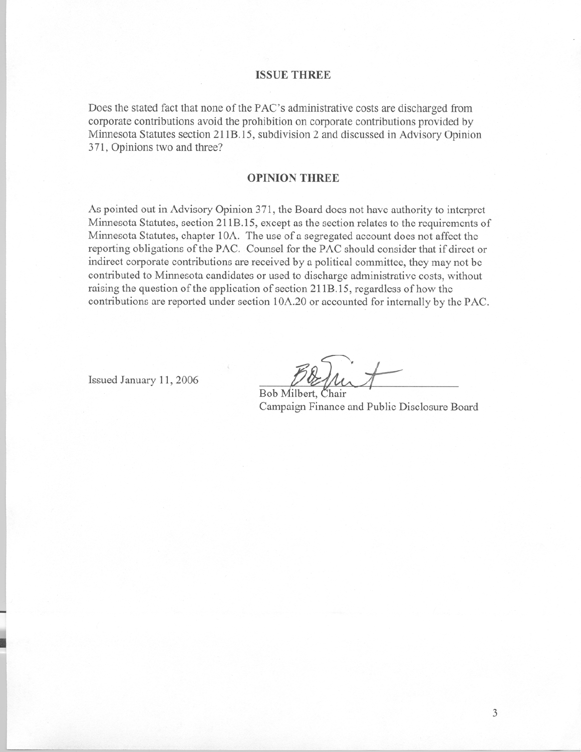#### **ISSUE THREE**

Does the stated fact that none of the PAC's administrative costs are discharged from corporate contributions avoid the prohibition on corporate contributions provided by Minnesota Statutes section 211B.15, subdivision 2 and discussed in Advisory Opinion 371, Opinions two and three?

#### **OPINION THREE**

As pointed out in Advisory Opinion 371, the Board does not have authority to interpret Minnesota Statutes, section 211B.15, except as the section relates to the requirements of Minnesota Statutes, chapter 10A. The use of a segregated account does not affect the reporting obligations of the PAC. Counsel for the PAC should consider that if direct or indirect corporate contributions are received by a political committee, they may not be contributed to Minnesota candidates or used to discharge administrative costs, without raising the question of the application of section 211B.15, regardless of how the contributions are reported under section 10A.20 or accounted for internally by the PAC.

Issued January 11, 2006

Bob Milbert, Chair Campaign Finance and Public Disclosure Board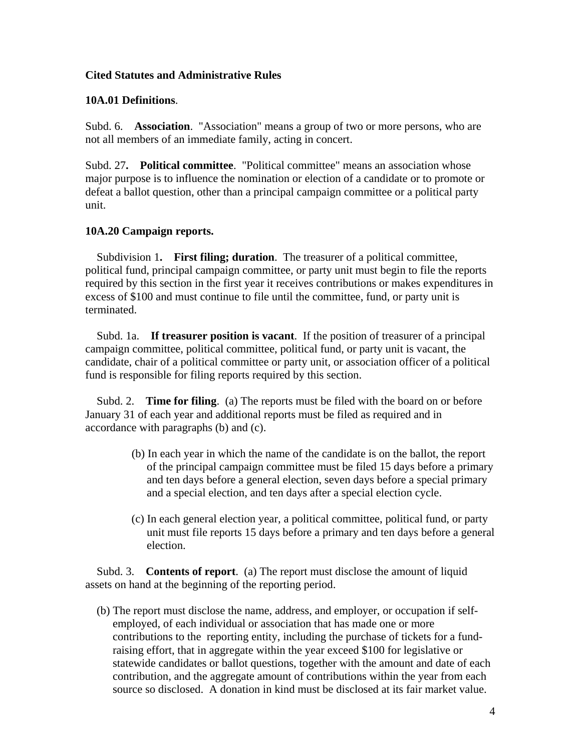# **Cited Statutes and Administrative Rules**

## **10A.01 Definitions**.

Subd. 6. **Association**. "Association" means a group of two or more persons, who are not all members of an immediate family, acting in concert.

Subd. 27**. Political committee**. "Political committee" means an association whose major purpose is to influence the nomination or election of a candidate or to promote or defeat a ballot question, other than a principal campaign committee or a political party unit.

# **10A.20 Campaign reports.**

 Subdivision 1**. First filing; duration**. The treasurer of a political committee, political fund, principal campaign committee, or party unit must begin to file the reports required by this section in the first year it receives contributions or makes expenditures in excess of \$100 and must continue to file until the committee, fund, or party unit is terminated.

 Subd. 1a. **If treasurer position is vacant**. If the position of treasurer of a principal campaign committee, political committee, political fund, or party unit is vacant, the candidate, chair of a political committee or party unit, or association officer of a political fund is responsible for filing reports required by this section.

 Subd. 2. **Time for filing**. (a) The reports must be filed with the board on or before January 31 of each year and additional reports must be filed as required and in accordance with paragraphs (b) and (c).

- (b) In each year in which the name of the candidate is on the ballot, the report of the principal campaign committee must be filed 15 days before a primary and ten days before a general election, seven days before a special primary and a special election, and ten days after a special election cycle.
- (c) In each general election year, a political committee, political fund, or party unit must file reports 15 days before a primary and ten days before a general election.

 Subd. 3. **Contents of report**. (a) The report must disclose the amount of liquid assets on hand at the beginning of the reporting period.

 (b) The report must disclose the name, address, and employer, or occupation if selfemployed, of each individual or association that has made one or more contributions to the reporting entity, including the purchase of tickets for a fundraising effort, that in aggregate within the year exceed \$100 for legislative or statewide candidates or ballot questions, together with the amount and date of each contribution, and the aggregate amount of contributions within the year from each source so disclosed. A donation in kind must be disclosed at its fair market value.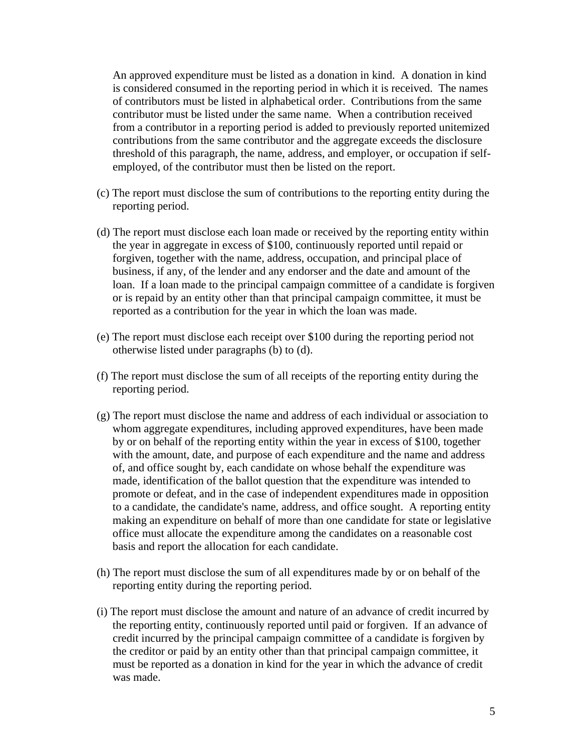An approved expenditure must be listed as a donation in kind. A donation in kind is considered consumed in the reporting period in which it is received. The names of contributors must be listed in alphabetical order. Contributions from the same contributor must be listed under the same name. When a contribution received from a contributor in a reporting period is added to previously reported unitemized contributions from the same contributor and the aggregate exceeds the disclosure threshold of this paragraph, the name, address, and employer, or occupation if selfemployed, of the contributor must then be listed on the report.

- (c) The report must disclose the sum of contributions to the reporting entity during the reporting period.
- (d) The report must disclose each loan made or received by the reporting entity within the year in aggregate in excess of \$100, continuously reported until repaid or forgiven, together with the name, address, occupation, and principal place of business, if any, of the lender and any endorser and the date and amount of the loan. If a loan made to the principal campaign committee of a candidate is forgiven or is repaid by an entity other than that principal campaign committee, it must be reported as a contribution for the year in which the loan was made.
- (e) The report must disclose each receipt over \$100 during the reporting period not otherwise listed under paragraphs (b) to (d).
- (f) The report must disclose the sum of all receipts of the reporting entity during the reporting period.
- (g) The report must disclose the name and address of each individual or association to whom aggregate expenditures, including approved expenditures, have been made by or on behalf of the reporting entity within the year in excess of \$100, together with the amount, date, and purpose of each expenditure and the name and address of, and office sought by, each candidate on whose behalf the expenditure was made, identification of the ballot question that the expenditure was intended to promote or defeat, and in the case of independent expenditures made in opposition to a candidate, the candidate's name, address, and office sought. A reporting entity making an expenditure on behalf of more than one candidate for state or legislative office must allocate the expenditure among the candidates on a reasonable cost basis and report the allocation for each candidate.
- (h) The report must disclose the sum of all expenditures made by or on behalf of the reporting entity during the reporting period.
- (i) The report must disclose the amount and nature of an advance of credit incurred by the reporting entity, continuously reported until paid or forgiven. If an advance of credit incurred by the principal campaign committee of a candidate is forgiven by the creditor or paid by an entity other than that principal campaign committee, it must be reported as a donation in kind for the year in which the advance of credit was made.